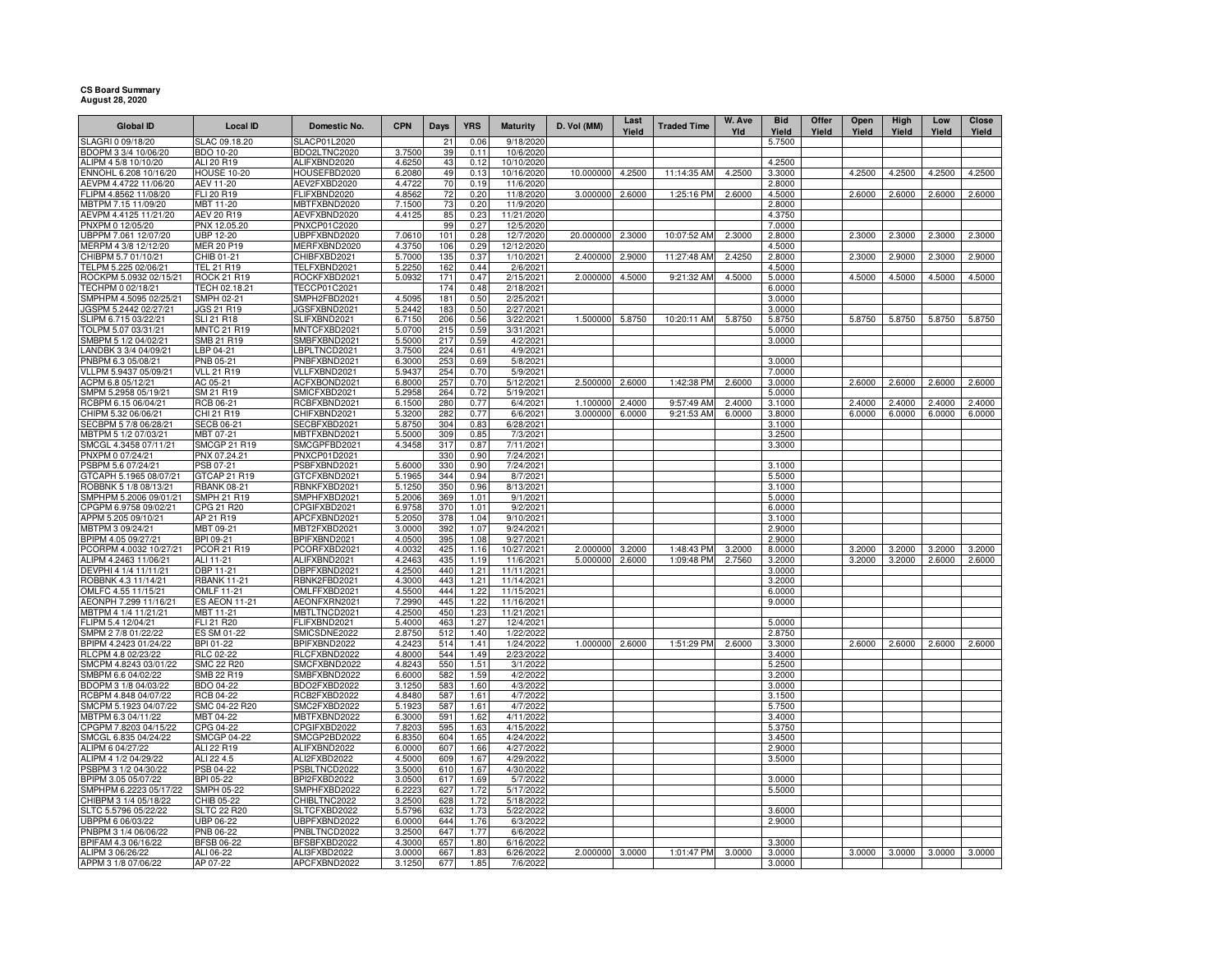## **CS Board Summary August 28, 2020**

| <b>Global ID</b>                                | <b>Local ID</b>                  | Domestic No.                 | <b>CPN</b>       | <b>Days</b>            | <b>YRS</b>   | <b>Maturity</b>        | D. Vol (MM)      | Last<br>Yield | <b>Traded Time</b> | W. Ave<br>Yld | <b>Bid</b><br>Yield | Offer<br>Yield | Open<br>Yield | High<br>Yield | Low<br>Yield | Close<br>Yield |
|-------------------------------------------------|----------------------------------|------------------------------|------------------|------------------------|--------------|------------------------|------------------|---------------|--------------------|---------------|---------------------|----------------|---------------|---------------|--------------|----------------|
| SLAGRI 0 09/18/20                               | SLAC 09.18.20                    | <b>SLACP01L2020</b>          |                  | 21                     | 0.06         | 9/18/2020              |                  |               |                    |               | 5.7500              |                |               |               |              |                |
| BDOPM 3 3/4 10/06/20                            | <b>BDO 10-20</b>                 | BDO2LTNC2020                 | 3.7500           | 39                     | 0.11         | 10/6/2020              |                  |               |                    |               |                     |                |               |               |              |                |
| ALIPM 4 5/8 10/10/20                            | ALI 20 R19                       | ALIFXBND2020                 | 4.6250           | 43                     | 0.12         | 10/10/2020             |                  |               |                    |               | 4.2500              |                |               |               |              |                |
| ENNOHL 6.208 10/16/20                           | <b>HOUSE 10-20</b>               | HOUSEFBD2020                 | 6.2080           | 49                     | 0.13         | 10/16/2020             | 10.000000        | 4.2500        | 11:14:35 AM        | 4.2500        | 3.3000              |                | 4.2500        | 4.2500        | 4.2500       | 4.2500         |
| AEVPM 4.4722 11/06/20                           | AEV 11-20                        | AEV2FXBD2020                 | 4.4722           | 70                     | 0.19         | 11/6/2020              |                  |               |                    |               | 2.8000              |                |               |               |              |                |
| FLIPM 4.8562 11/08/20                           | FLI 20 R19                       | FLIFXBND2020                 | 4.8562           | 72                     | 0.20         | 11/8/2020              | 3.000000         | 2.6000        | 1:25:16 PM         | 2.6000        | 4.5000              |                | 2.6000        | 2.6000        | 2.6000       | 2.6000         |
| MBTPM 7.15 11/09/20                             | MBT 11-20                        | MBTFXBND2020                 | 7.1500           | 73                     | 0.20         | 11/9/2020              |                  |               |                    |               | 2.8000              |                |               |               |              |                |
| AEVPM 4.4125 11/21/20                           | <b>AEV 20 R19</b>                | AEVFXBND2020                 | 4.4125           | 85                     | 0.23         | 11/21/2020             |                  |               |                    |               | 4.3750              |                |               |               |              |                |
| PNXPM 0 12/05/20<br>UBPPM 7.061 12/07/20        | PNX 12.05.20<br><b>UBP 12-20</b> | PNXCP01C2020<br>UBPFXBND2020 | 7.0610           | 99<br>101              | 0.27<br>0.28 | 12/5/2020<br>12/7/2020 | 20.000000 2.3000 |               | 10:07:52 AM        | 2.3000        | 7.0000<br>2.8000    |                | 2.3000        | 2.3000        | 2.3000       | 2.3000         |
| MERPM 4 3/8 12/12/20                            | MER 20 P19                       | MERFXBND2020                 | 4.3750           | 106                    | 0.29         | 12/12/2020             |                  |               |                    |               | 4.5000              |                |               |               |              |                |
| CHIBPM 5.7 01/10/21                             | CHIB 01-21                       | CHIBFXBD2021                 | 5.7000           | 135                    | 0.37         | 1/10/2021              | 2.400000         | 2.9000        | 11:27:48 AM        | 2.4250        | 2.8000              |                | 2.3000        | 2.9000        | 2.3000       | 2.9000         |
| TELPM 5.225 02/06/21                            | TEL 21 R19                       | TELFXBND2021                 | 5.2250           | 162                    | 0.44         | 2/6/2021               |                  |               |                    |               | 4.5000              |                |               |               |              |                |
| ROCKPM 5.0932 02/15/21                          | <b>ROCK 21 R19</b>               | ROCKFXBD2021                 | 5.0932           | 171                    | 0.47         | 2/15/2021              | 2.000000         | 4.5000        | 9:21:32 AM         | 4.5000        | 5.0000              |                | 4.5000        | 4.5000        | 4.5000       | 4.5000         |
| TECHPM 0 02/18/21                               | TECH 02.18.21                    | TECCP01C2021                 |                  | 174                    | 0.48         | 2/18/2021              |                  |               |                    |               | 6.0000              |                |               |               |              |                |
| SMPHPM 4.5095 02/25/21                          | SMPH 02-21                       | SMPH2FBD2021                 | 4.5095           | 181                    | 0.50         | 2/25/2021              |                  |               |                    |               | 3.0000              |                |               |               |              |                |
| JGSPM 5.2442 02/27/21                           | <b>JGS 21 R19</b>                | JGSFXBND2021                 | 5.2442           | 183                    | 0.50         | 2/27/2021              |                  |               |                    |               | 3.0000              |                |               |               |              |                |
| SLIPM 6.715 03/22/21                            | <b>SLI 21 R18</b>                | SLIFXBND2021                 | 6.7150           | 206                    | 0.56         | 3/22/2021              | 1.500000 5.8750  |               | 10:20:11 AM        | 5.8750        | 5.8750              |                | 5.8750        | 5.8750        | 5.8750       | 5.8750         |
| TOLPM 5.07 03/31/21                             | <b>MNTC 21 R19</b>               | MNTCFXBD2021                 | 5.0700           | 215                    | 0.59         | 3/31/2021              |                  |               |                    |               | 5.0000              |                |               |               |              |                |
| SMBPM 5 1/2 04/02/21                            | SMB 21 R19                       | SMBFXBND2021                 | 5.5000           | 217                    | 0.59         | 4/2/2021               |                  |               |                    |               | 3.0000              |                |               |               |              |                |
| LANDBK 3 3/4 04/09/21                           | LBP 04-21                        | LBPLTNCD2021                 | 3.7500           | 224<br>253             | 0.61         | 4/9/2021               |                  |               |                    |               |                     |                |               |               |              |                |
| PNBPM 6.3 05/08/21<br>VLLPM 5.9437 05/09/21     | PNB 05-21<br><b>VLL 21 R19</b>   | PNBFXBND2021<br>VLLFXBND2021 | 6.3000<br>5.9437 | 254                    | 0.69<br>0.70 | 5/8/2021<br>5/9/2021   |                  |               |                    |               | 3.0000<br>7.0000    |                |               |               |              |                |
| ACPM 6.8 05/12/21                               | AC 05-21                         | ACFXBOND2021                 | 6.8000           | 257                    | 0.70         | 5/12/2021              | 2.500000         | 2.6000        | 1:42:38 PM         | 2.6000        | 3.0000              |                | 2.6000        | 2.6000        | 2.6000       | 2.6000         |
| SMPM 5.2958 05/19/21                            | SM 21 R19                        | SMICFXBD2021                 | 5.2958           | 264                    | 0.72         | 5/19/2021              |                  |               |                    |               | 5.0000              |                |               |               |              |                |
| RCBPM 6.15 06/04/21                             | RCB 06-21                        | RCBFXBND2021                 | 6.1500           | 280                    | 0.77         | 6/4/2021               | 1.100000         | 2.4000        | 9:57:49 AM         | 2.4000        | 3.1000              |                | 2.4000        | 2.4000        | 2.4000       | 2.4000         |
| CHIPM 5.32 06/06/21                             | CHI 21 R19                       | CHIFXBND2021                 | 5.3200           | 282                    | 0.77         | 6/6/2021               | 3.000000         | 6.0000        | 9:21:53 AM         | 6.0000        | 3.8000              |                | 6.0000        | 6.0000        | 6.0000       | 6.0000         |
| SECBPM 5 7/8 06/28/21                           | <b>SECB 06-21</b>                | SECBFXBD2021                 | 5.8750           | 304                    | 0.83         | 6/28/2021              |                  |               |                    |               | 3.1000              |                |               |               |              |                |
| MBTPM 5 1/2 07/03/21                            | MBT 07-21                        | MBTFXBND2021                 | 5.5000           | 309                    | 0.85         | 7/3/2021               |                  |               |                    |               | 3.2500              |                |               |               |              |                |
| SMCGL 4.3458 07/11/21                           | <b>SMCGP 21 R19</b>              | SMCGPFBD2021                 | 4.3458           | 317                    | 0.87         | 7/11/2021              |                  |               |                    |               | 3.3000              |                |               |               |              |                |
| PNXPM 0 07/24/21                                | PNX 07.24.21                     | PNXCP01D2021                 |                  | 330                    | 0.90         | 7/24/2021              |                  |               |                    |               |                     |                |               |               |              |                |
| PSBPM 5.6 07/24/21                              | PSB 07-21                        | PSBFXBND2021                 | 5.6000           | 330                    | 0.90         | 7/24/2021              |                  |               |                    |               | 3.1000              |                |               |               |              |                |
| GTCAPH 5.1965 08/07/21                          | GTCAP 21 R19                     | GTCFXBND2021                 | 5.1965           | 344                    | 0.94         | 8/7/2021               |                  |               |                    |               | 5.5000              |                |               |               |              |                |
| ROBBNK 5 1/8 08/13/21                           | <b>RBANK 08-21</b>               | RBNKFXBD2021                 | 5.1250           | 350<br>369             | 0.96         | 8/13/2021              |                  |               |                    |               | 3.1000              |                |               |               |              |                |
| SMPHPM 5.2006 09/01/21<br>CPGPM 6.9758 09/02/21 | SMPH 21 R19<br>CPG 21 R20        | SMPHFXBD2021<br>CPGIFXBD2021 | 5.2006<br>6.9758 | 370                    | 1.01<br>1.01 | 9/1/2021<br>9/2/2021   |                  |               |                    |               | 5.0000<br>6.0000    |                |               |               |              |                |
| APPM 5.205 09/10/21                             | AP 21 R19                        | APCFXBND2021                 | 5.2050           | 378                    | 1.04         | 9/10/2021              |                  |               |                    |               | 3.1000              |                |               |               |              |                |
| MBTPM 3 09/24/21                                | MBT 09-21                        | MBT2FXBD2021                 | 3.0000           | 392                    | 1.07         | 9/24/2021              |                  |               |                    |               | 2.9000              |                |               |               |              |                |
| BPIPM 4.05 09/27/21                             | BPI 09-21                        | BPIFXBND2021                 | 4.0500           | 395                    | 1.08         | 9/27/2021              |                  |               |                    |               | 2.9000              |                |               |               |              |                |
| PCORPM 4.0032 10/27/21                          | PCOR 21 R19                      | PCORFXBD2021                 | 4.0032           | 425                    | 1.16         | 10/27/2021             | 2.000000         | 3.2000        | 1:48:43 PM         | 3.2000        | 8.0000              |                | 3.2000        | 3.2000        | 3.2000       | 3.2000         |
| ALIPM 4.2463 11/06/21                           | ALI 11-21                        | ALIFXBND2021                 | 4.2463           | 435                    | 1.19         | 11/6/2021              | 5.000000 2.6000  |               | 1:09:48 PM         | 2.7560        | 3.2000              |                | 3.2000        | 3.2000        | 2.6000       | 2.6000         |
| DEVPHI 4 1/4 11/11/21                           | DBP 11-21                        | DBPFXBND2021                 | 4.2500           | 440                    | 1.21         | 11/11/2021             |                  |               |                    |               | 3.0000              |                |               |               |              |                |
| ROBBNK 4.3 11/14/21                             | <b>RBANK 11-21</b>               | RBNK2FBD2021                 | 4.3000           | 443                    | 1.21         | 11/14/2021             |                  |               |                    |               | 3.2000              |                |               |               |              |                |
| OMLFC 4.55 11/15/21                             | OMLF 11-21                       | OMLFFXBD2021                 | 4.5500           | 444                    | 1.22         | 11/15/2021             |                  |               |                    |               | 6.0000              |                |               |               |              |                |
| AEONPH 7.299 11/16/21                           | <b>ES AEON 11-21</b>             | AEONFXRN2021                 | 7.2990           | 445                    | 1.22         | 11/16/2021             |                  |               |                    |               | 9.0000              |                |               |               |              |                |
| MBTPM 4 1/4 11/21/21                            | MBT 11-21                        | MBTLTNCD2021                 | 4.2500           | 450                    | 1.23         | 11/21/2021             |                  |               |                    |               |                     |                |               |               |              |                |
| FLIPM 5.4 12/04/21<br>SMPM 2 7/8 01/22/22       | <b>FLI 21 R20</b><br>ES SM 01-22 | FLIFXBND2021<br>SMICSDNE2022 | 5.4000<br>2.8750 | 463<br>512             | 1.27<br>1.40 | 12/4/2021<br>1/22/2022 |                  |               |                    |               | 5.0000<br>2.8750    |                |               |               |              |                |
| BPIPM 4.2423 01/24/22                           | BPI 01-22                        | BPIFXBND2022                 | 4.2423           | 514                    | 1.41         | 1/24/2022              | 1.000000 2.6000  |               | 1:51:29 PM         | 2.6000        | 3.3000              |                | 2.6000        | 2.6000        | 2.6000       | 2.6000         |
| RLCPM 4.8 02/23/22                              | <b>RLC 02-22</b>                 | RLCFXBND2022                 | 4.8000           | 544                    | 1.49         | 2/23/2022              |                  |               |                    |               | 3.4000              |                |               |               |              |                |
| SMCPM 4.8243 03/01/22                           | <b>SMC 22 R20</b>                | SMCFXBND2022                 | 4.8243           | 550                    | 1.51         | 3/1/2022               |                  |               |                    |               | 5.2500              |                |               |               |              |                |
| SMBPM 6.6 04/02/22                              | SMB 22 R19                       | SMBFXBND2022                 | 6.6000           | 582                    | 1.59         | 4/2/2022               |                  |               |                    |               | 3.2000              |                |               |               |              |                |
| BDOPM 3 1/8 04/03/22                            | BDO 04-22                        | BDO2FXBD2022                 | 3.1250           | 583                    | 1.60         | 4/3/2022               |                  |               |                    |               | 3.0000              |                |               |               |              |                |
| RCBPM 4.848 04/07/22                            | <b>RCB 04-22</b>                 | RCB2FXBD2022                 | 4.8480           | 587                    | 1.61         | 4/7/2022               |                  |               |                    |               | 3.1500              |                |               |               |              |                |
| SMCPM 5.1923 04/07/22                           | SMC 04-22 R20                    | SMC2FXBD2022                 | 5.1923           | 587                    | 1.61         | 4/7/2022               |                  |               |                    |               | 5.7500              |                |               |               |              |                |
| MBTPM 6.3 04/11/22                              | MBT 04-22                        | MBTFXBND2022                 | 6.3000           | 591                    | 1.62         | 4/11/2022              |                  |               |                    |               | 3.4000              |                |               |               |              |                |
| CPGPM 7.8203 04/15/22                           | CPG 04-22                        | CPGIFXBD2022                 | 7.8203           | 595                    | 1.63         | 4/15/2022              |                  |               |                    |               | 5.3750              |                |               |               |              |                |
| SMCGL 6.835 04/24/22                            | <b>SMCGP 04-22</b>               | SMCGP2BD2022                 | 6.8350           | 604                    | 1.65         | 4/24/2022              |                  |               |                    |               | 3.4500              |                |               |               |              |                |
| ALIPM 6 04/27/22<br>ALIPM 4 1/2 04/29/22        | ALI 22 R19<br>ALI 22 4.5         | ALIFXBND2022<br>ALI2FXBD2022 | 6.0000<br>4.5000 | 607<br>60 <sub>9</sub> | 1.66<br>1.67 | 4/27/2022<br>4/29/2022 |                  |               |                    |               | 2.9000              |                |               |               |              |                |
| PSBPM 3 1/2 04/30/22                            | PSB 04-22                        | PSBLTNCD2022                 | 3.5000           | 610                    | 1.67         | 4/30/2022              |                  |               |                    |               | 3.5000              |                |               |               |              |                |
| BPIPM 3.05 05/07/22                             | BPI 05-22                        | BPI2FXBD2022                 | 3.0500           | 617                    | 1.69         | 5/7/2022               |                  |               |                    |               | 3.0000              |                |               |               |              |                |
| SMPHPM 6.2223 05/17/22                          | SMPH 05-22                       | SMPHFXBD2022                 | 6.2223           | 627                    | 1.72         | 5/17/2022              |                  |               |                    |               | 5.5000              |                |               |               |              |                |
| CHIBPM 3 1/4 05/18/22                           | CHIB 05-22                       | CHIBLTNC2022                 | 3.2500           | 628                    | 1.72         | 5/18/2022              |                  |               |                    |               |                     |                |               |               |              |                |
| SLTC 5.5796 05/22/22                            | <b>SLTC 22 R20</b>               | SLTCFXBD2022                 | 5.5796           | 632                    | 1.73         | 5/22/2022              |                  |               |                    |               | 3.6000              |                |               |               |              |                |
| JBPPM 6 06/03/22                                | JBP 06-22                        | JBPFXBND2022                 | 6.0000           | 644                    | 1.76         | 6/3/2022               |                  |               |                    |               | 2.9000              |                |               |               |              |                |
| PNBPM 3 1/4 06/06/22                            | <b>PNB 06-22</b>                 | PNBLTNCD2022                 | 3.2500           | 647                    | 1.77         | 6/6/2022               |                  |               |                    |               |                     |                |               |               |              |                |
| BPIFAM 4.3 06/16/22                             | <b>BFSB 06-22</b>                | BFSBFXBD2022                 | 4.3000           | 657                    | 1.80         | 6/16/2022              |                  |               |                    |               | 3.3000              |                |               |               |              |                |
| ALIPM 3 06/26/22                                | ALI 06-22                        | ALI3FXBD2022                 | 3.0000           | 667                    | 1.83         | 6/26/2022              | 2.000000 3.0000  |               | 1:01:47 PM         | 3.0000        | 3.0000              |                | 3.0000        | 3.0000        | 3.0000       | 3.0000         |
| APPM 3 1/8 07/06/22                             | AP 07-22                         | APCFXBND2022                 | 3.1250           | 677                    | 1.85         | 7/6/2022               |                  |               |                    |               | 3.0000              |                |               |               |              |                |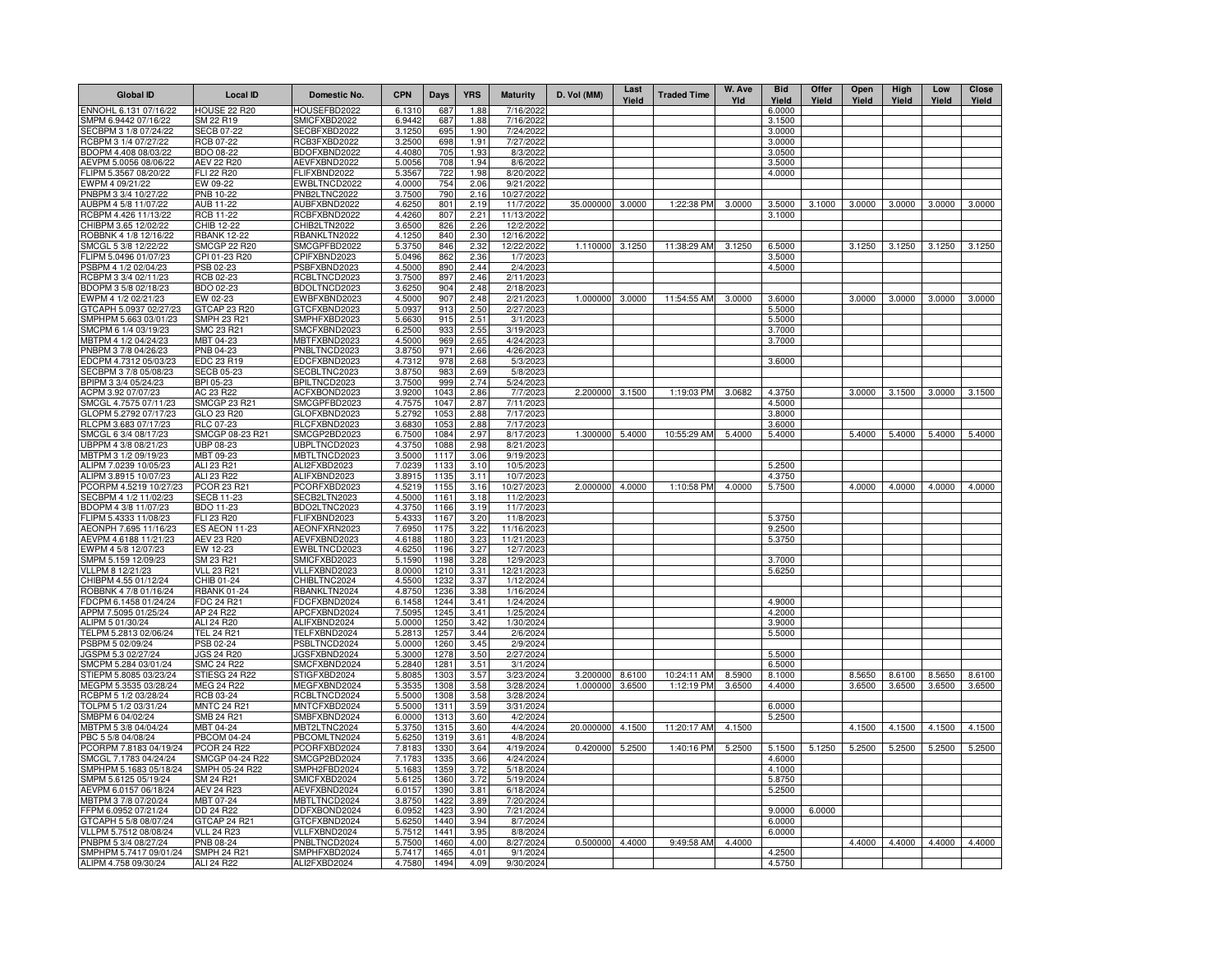| <b>Global ID</b>                               | Local ID                              | Domestic No.                 | <b>CPN</b>       | Days         | <b>YRS</b>   | <b>Maturity</b>        | D. Vol (MM) | Last<br>Yield | <b>Traded Time</b> | W. Ave<br>Yld | <b>Bid</b><br>Yield | Offer<br>Yield | Open<br>Yield | High<br>Yield | Low<br>Yield | Close<br>Yield |
|------------------------------------------------|---------------------------------------|------------------------------|------------------|--------------|--------------|------------------------|-------------|---------------|--------------------|---------------|---------------------|----------------|---------------|---------------|--------------|----------------|
| ENNOHL 6.131 07/16/22                          | <b>HOUSE 22 R20</b>                   | HOUSEFBD2022                 | 6.1310           | 687          | 1.88         | 7/16/2022              |             |               |                    |               | 6.0000              |                |               |               |              |                |
| MPM 6.9442 07/16/22                            | SM 22 R19                             | SMICFXBD2022                 | 6.9442           | 687          | 1.88         | 7/16/2022              |             |               |                    |               | 3.1500              |                |               |               |              |                |
| ECBPM 3 1/8 07/24/22                           | ECB 07-22                             | SECBFXBD2022                 | 3.1250           | 695          | 1.90         | 7/24/2022              |             |               |                    |               | 3.0000              |                |               |               |              |                |
| RCBPM 3 1/4 07/27/22                           | <b>RCB 07-22</b>                      | RCB3FXBD2022                 | 3.2500           | 698          | 1.91         | 7/27/2022              |             |               |                    |               | 3.0000              |                |               |               |              |                |
| BDOPM 4.408 08/03/22<br>AEVPM 5.0056 08/06/22  | <b>BDO 08-22</b><br><b>AEV 22 R20</b> | BDOFXBND2022<br>AEVFXBND2022 | 4.4080<br>5.0056 | 705<br>708   | 1.93<br>1.94 | 8/3/2022<br>8/6/2022   |             |               |                    |               | 3.0500<br>3.5000    |                |               |               |              |                |
| LIPM 5.3567 08/20/22                           | <b>FLI 22 R20</b>                     | FLIFXBND2022                 | 5.3567           | 722          | 1.98         | 8/20/2022              |             |               |                    |               | 4.0000              |                |               |               |              |                |
| WPM 4 09/21/22                                 | EW 09-22                              | EWBLTNCD2022                 | 4.0000           | 754          | 2.06         | 9/21/2022              |             |               |                    |               |                     |                |               |               |              |                |
| PNBPM 3 3/4 10/27/22                           | <b>PNB 10-22</b>                      | PNB2LTNC2022                 | 3.7500           | 790          | 2.16         | 10/27/2022             |             |               |                    |               |                     |                |               |               |              |                |
| AUBPM 4 5/8 11/07/22                           | <b>AUB 11-22</b>                      | AUBFXBND2022                 | 4.6250           | 801          | 2.19         | 11/7/2022              | 35.000000   | 3.0000        | 1:22:38 PM         | 3.0000        | 3.5000              | 3.1000         | 3.0000        | 3.0000        | 3.0000       | 3.0000         |
| RCBPM 4.426 11/13/22                           | <b>RCB 11-22</b>                      | RCBFXBND2022                 | 4.4260           | 807          | 2.21         | 11/13/2022             |             |               |                    |               | 3.1000              |                |               |               |              |                |
| CHIBPM 3.65 12/02/22                           | CHIB 12-22                            | CHIB2LTN2022                 | 3.6500           | 826          | 2.26         | 12/2/2022              |             |               |                    |               |                     |                |               |               |              |                |
| ROBBNK 4 1/8 12/16/22                          | <b>RBANK 12-22</b>                    | RBANKLTN2022                 | 4.1250           | 840          | 2.30         | 12/16/2022             |             |               |                    |               |                     |                |               |               |              |                |
| SMCGL 5 3/8 12/22/22                           | <b>SMCGP 22 R20</b>                   | SMCGPFBD2022                 | 5.3750           | 846          | 2.32         | 12/22/2022             | 1.110000    | 3.1250        | 11:38:29 AM        | 3.1250        | 6.5000              |                | 3.1250        | 3.1250        | 3.1250       | 3.1250         |
| FLIPM 5.0496 01/07/23                          | CPI 01-23 R20<br><b>PSB 02-23</b>     | CPIFXBND2023<br>PSBFXBND2023 | 5.0496<br>4.5000 | 862<br>890   | 2.36<br>2.44 | 1/7/2023<br>2/4/2023   |             |               |                    |               | 3.5000<br>4.5000    |                |               |               |              |                |
| SBPM 4 1/2 02/04/23<br>RCBPM 3 3/4 02/11/23    | RCB 02-23                             | RCBLTNCD2023                 | 3.7500           | 897          | 2.46         | 2/11/2023              |             |               |                    |               |                     |                |               |               |              |                |
| BDOPM 3 5/8 02/18/23                           | BDO 02-23                             | BDOLTNCD2023                 | 3.6250           | 904          | 2.48         | 2/18/2023              |             |               |                    |               |                     |                |               |               |              |                |
| EWPM 4 1/2 02/21/23                            | EW 02-23                              | EWBFXBND2023                 | 4.5000           | 907          | 2.48         | 2/21/2023              | 1.000000    | 3.0000        | 11:54:55 AM        | 3.0000        | 3.6000              |                | 3.0000        | 3.0000        | 3.0000       | 3.0000         |
| GTCAPH 5.0937 02/27/23                         | GTCAP 23 R20                          | GTCFXBND2023                 | 5.0937           | 913          | 2.50         | 2/27/2023              |             |               |                    |               | 5.5000              |                |               |               |              |                |
| SMPHPM 5.663 03/01/23                          | SMPH 23 R21                           | SMPHFXBD2023                 | 5.6630           | 915          | 2.51         | 3/1/2023               |             |               |                    |               | 5.5000              |                |               |               |              |                |
| SMCPM 6 1/4 03/19/23                           | SMC 23 R21                            | SMCFXBND2023                 | 6.2500           | 933          | 2.55         | 3/19/2023              |             |               |                    |               | 3.7000              |                |               |               |              |                |
| MBTPM 4 1/2 04/24/23                           | MBT 04-23                             | MBTFXBND2023                 | 4.5000           | 969          | 2.65         | 4/24/2023              |             |               |                    |               | 3.7000              |                |               |               |              |                |
| PNBPM 3 7/8 04/26/23                           | PNB 04-23                             | PNBLTNCD2023                 | 3.8750           | 971          | 2.66         | 4/26/2023              |             |               |                    |               |                     |                |               |               |              |                |
| EDCPM 4.7312 05/03/23                          | EDC 23 R19                            | EDCFXBND2023                 | 4.7312           | 978          | 2.68         | 5/3/2023               |             |               |                    |               | 3.6000              |                |               |               |              |                |
| ECBPM 3 7/8 05/08/23<br>3PIPM 3 3/4 05/24/23   | SECB 05-23<br>BPI 05-23               | SECBLTNC2023<br>BPILTNCD2023 | 3.8750<br>3.7500 | 983<br>999   | 2.69<br>2.74 | 5/8/2023<br>5/24/2023  |             |               |                    |               |                     |                |               |               |              |                |
| ACPM 3.92 07/07/23                             | AC 23 R22                             | ACFXBOND2023                 | 3.9200           | 1043         | 2.86         | 7/7/2023               | 2.200000    | 3.1500        | 1:19:03 PM         | 3.0682        | 4.3750              |                | 3.0000        | 3.1500        | 3.0000       | 3.1500         |
| SMCGL 4.7575 07/11/23                          | SMCGP 23 R21                          | SMCGPFBD2023                 | 4.7575           | 1047         | 2.87         | 7/11/2023              |             |               |                    |               | 4.5000              |                |               |               |              |                |
| GLOPM 5.2792 07/17/23                          | GLO 23 R20                            | GLOFXBND2023                 | 5.2792           | 1053         | 2.88         | 7/17/2023              |             |               |                    |               | 3.8000              |                |               |               |              |                |
| RLCPM 3.683 07/17/23                           | RLC 07-23                             | RLCFXBND2023                 | 3.6830           | 1053         | 2.88         | 7/17/2023              |             |               |                    |               | 3.6000              |                |               |               |              |                |
| SMCGL 6 3/4 08/17/23                           | SMCGP 08-23 R21                       | SMCGP2BD2023                 | 6.7500           | 1084         | 2.97         | 8/17/2023              | 1.300000    | 5.4000        | 10:55:29 AM        | 5.4000        | 5.4000              |                | 5.4000        | 5.4000        | 5.4000       | 5.4000         |
| UBPPM 4 3/8 08/21/23                           | UBP 08-23                             | UBPLTNCD2023                 | 4.3750           | 1088         | 2.98         | 8/21/2023              |             |               |                    |               |                     |                |               |               |              |                |
| MBTPM 3 1/2 09/19/23                           | MBT 09-23                             | MBTLTNCD2023                 | 3.5000           | 1117         | 3.06         | 9/19/2023              |             |               |                    |               |                     |                |               |               |              |                |
| ALIPM 7.0239 10/05/23<br>ALIPM 3.8915 10/07/23 | ALI 23 R21<br>ALI 23 R22              | ALI2FXBD2023<br>ALIFXBND2023 | 7.0239<br>3.8915 | 1133<br>1135 | 3.10<br>3.11 | 10/5/2023<br>10/7/2023 |             |               |                    |               | 5.2500<br>4.3750    |                |               |               |              |                |
| CORPM 4.5219 10/27/23                          | PCOR 23 R21                           | PCORFXBD2023                 | 4.5219           | 1155         | 3.16         | 10/27/2023             | 2.000000    | 4.0000        | 1:10:58 PM         | 4.0000        | 5.7500              |                | 4.0000        | 4.0000        | 4.0000       | 4.0000         |
| ECBPM 4 1/2 11/02/23                           | <b>SECB 11-23</b>                     | SECB2LTN2023                 | 4.5000           | 1161         | 3.18         | 11/2/2023              |             |               |                    |               |                     |                |               |               |              |                |
| BDOPM 4 3/8 11/07/23                           | BDO 11-23                             | BDO2LTNC2023                 | 4.3750           | 1166         | 3.19         | 11/7/2023              |             |               |                    |               |                     |                |               |               |              |                |
| FLIPM 5.4333 11/08/23                          | FLI 23 R20                            | FLIFXBND2023                 | 5.4333           | 1167         | 3.20         | 11/8/2023              |             |               |                    |               | 5.3750              |                |               |               |              |                |
| AEONPH 7.695 11/16/23                          | <b>ES AEON 11-23</b>                  | AEONFXRN2023                 | 7.6950           | 1175         | 3.22         | 11/16/2023             |             |               |                    |               | 9.2500              |                |               |               |              |                |
| AEVPM 4.6188 11/21/23                          | AEV 23 R20                            | AEVFXBND2023                 | 4.6188           | 1180         | 3.23         | 11/21/2023             |             |               |                    |               | 5.3750              |                |               |               |              |                |
| EWPM 4 5/8 12/07/23<br>SMPM 5.159 12/09/23     | EW 12-23<br>SM 23 R21                 | EWBLTNCD2023<br>SMICFXBD2023 | 4.6250<br>5.1590 | 1196<br>1198 | 3.27<br>3.28 | 12/7/2023<br>12/9/2023 |             |               |                    |               | 3.7000              |                |               |               |              |                |
| VLLPM 8 12/21/23                               | <b>VLL 23 R21</b>                     | VLLFXBND2023                 | 8.0000           | 1210         | 3.31         | 12/21/2023             |             |               |                    |               | 5.6250              |                |               |               |              |                |
| CHIBPM 4.55 01/12/24                           | CHIB 01-24                            | CHIBLTNC2024                 | 4.5500           | 1232         | 3.37         | 1/12/2024              |             |               |                    |               |                     |                |               |               |              |                |
| ROBBNK 4 7/8 01/16/24                          | <b>RBANK 01-24</b>                    | RBANKLTN2024                 | 4.8750           | 1236         | 3.38         | 1/16/2024              |             |               |                    |               |                     |                |               |               |              |                |
| FDCPM 6.1458 01/24/24                          | FDC 24 R21                            | FDCFXBND2024                 | 6.1458           | 1244         | 3.41         | 1/24/2024              |             |               |                    |               | 4.9000              |                |               |               |              |                |
| APPM 7.5095 01/25/24                           | AP 24 R22                             | APCFXBND2024                 | 7.5095           | 1245         | 3.41         | 1/25/2024              |             |               |                    |               | 4.2000              |                |               |               |              |                |
| ALIPM 5 01/30/24                               | ALI 24 R20                            | ALIFXBND2024                 | 5.0000           | 1250         | 3.42         | 1/30/2024              |             |               |                    |               | 3.9000              |                |               |               |              |                |
| TELPM 5.2813 02/06/24<br>PSBPM 5 02/09/24      | <b>TEL 24 R21</b><br>PSB 02-24        | TELFXBND2024<br>PSBLTNCD2024 | 5.281<br>5.000   | 1257<br>1260 | 3.44<br>3.45 | 2/6/2024<br>2/9/2024   |             |               |                    |               | 5.5000              |                |               |               |              |                |
| IGSPM 5.3 02/27/24                             | <b>JGS 24 R20</b>                     | JGSFXBND2024                 | 5.300            | 1278         | 3.5C         | 2/27/2024              |             |               |                    |               | 5.5000              |                |               |               |              |                |
| MCPM 5.284 03/01/24                            | <b>SMC 24 R22</b>                     | SMCFXBND2024                 | 5.2840           | $128 -$      | 3.51         | 3/1/2024               |             |               |                    |               | 6.5000              |                |               |               |              |                |
| TIEPM 5.8085 03/23/24                          | STIESG 24 R22                         | STIGFXBD2024                 | 5.808            | 1303         | 3.57         | 3/23/2024              | 3.200000    | 8.6100        | 10:24:11 AM        | 8.5900        | 8.1000              |                | 8.5650        | 8.6100        | 8.5650       | 8.6100         |
| MEGPM 5.3535 03/28/24                          | MEG 24 R22                            | MEGFXBND2024                 | 5.353            | 1308         | 3.58         | 3/28/2024              | 1.000000    | 3.6500        | 1:12:19 PM         | 3.6500        | 4.4000              |                | 3.6500        | 3.6500        | 3.6500       | 3.6500         |
| RCBPM 5 1/2 03/28/24                           | RCB 03-24                             | RCBLTNCD2024                 | 5.500            | 1308         | 3.58         | 3/28/2024              |             |               |                    |               |                     |                |               |               |              |                |
| TOLPM 5 1/2 03/31/24                           | <b>MNTC 24 R21</b>                    | MNTCFXBD2024                 | 5.500            | $131 -$      | 3.59         | 3/31/2024              |             |               |                    |               | 6.0000              |                |               |               |              |                |
| SMBPM 6 04/02/24                               | SMB 24 R21                            | SMBFXBND2024                 | 6.000            | 1313         | 3.60         | 4/2/2024               |             |               | 11:20:17 AM        | 4.1500        | 5.2500              |                | 4.1500        |               |              |                |
| MBTPM 5 3/8 04/04/24<br>PBC 5 5/8 04/08/24     | MBT 04-24<br><b>PBCOM 04-24</b>       | MBT2LTNC2024<br>PBCOMLTN2024 | 5.3750<br>5.6250 | 1315<br>1319 | 3.60<br>3.61 | 4/4/2024<br>4/8/2024   | 20.000000   | 4.1500        |                    |               |                     |                |               | 4.1500        | 4.1500       | 4.1500         |
| PCORPM 7.8183 04/19/24                         | <b>PCOR 24 R22</b>                    | PCORFXBD2024                 | 7.8183           | 1330         | 3.64         | 4/19/2024              | 0.420000    | 5.2500        | 1:40:16 PM         | 5.2500        | 5.1500              | 5.1250         | 5.2500        | 5.2500        | 5.2500       | 5.2500         |
| MCGL 7.1783 04/24/24                           | SMCGP 04-24 R22                       | SMCGP2BD2024                 | 7.178            | 1335         | 3.66         | 4/24/2024              |             |               |                    |               | 4.6000              |                |               |               |              |                |
| MPHPM 5.1683 05/18/24                          | SMPH 05-24 R22                        | SMPH2FBD2024                 | 5.168            | 1359         | 3.72         | 5/18/2024              |             |               |                    |               | 4.1000              |                |               |               |              |                |
| MPM 5.6125 05/19/24                            | SM 24 R21                             | SMICFXBD2024                 | 5.6125           | 1360         | 3.72         | 5/19/2024              |             |               |                    |               | 5.8750              |                |               |               |              |                |
| AEVPM 6.0157 06/18/24                          | <b>AEV 24 R23</b>                     | AEVFXBND2024                 | 6.0157           | 1390         | 3.81         | 6/18/2024              |             |               |                    |               | 5.2500              |                |               |               |              |                |
| MBTPM 3 7/8 07/20/24                           | MBT 07-24                             | MBTLTNCD2024                 | 3.8750           | 1422         | 3.89         | 7/20/2024              |             |               |                    |               |                     |                |               |               |              |                |
| FPM 6.0952 07/21/24<br>GTCAPH 5 5/8 08/07/24   | DD 24 R22<br>GTCAP 24 R21             | DDFXBOND2024<br>GTCFXBND2024 | 6.0952<br>5.6250 | 1423<br>1440 | 3.90<br>3.94 | 7/21/2024<br>8/7/2024  |             |               |                    |               | 9.0000<br>6.0000    | 6.0000         |               |               |              |                |
| VLLPM 5.7512 08/08/24                          | <b>VLL 24 R23</b>                     | VLLFXBND2024                 | 5.7512           | 1441         | 3.95         | 8/8/2024               |             |               |                    |               | 6.0000              |                |               |               |              |                |
| PNBPM 5 3/4 08/27/24                           | PNB 08-24                             | PNBLTNCD2024                 | 5.750            | 1460         | 4.00         | 8/27/2024              | 0.500000    | 4.4000        | 9:49:58 AM         | 4.4000        |                     |                | 4.4000        | 4.4000        | 4.4000       | 4.4000         |
| SMPHPM 5.7417 09/01/24                         | <b>SMPH 24 R21</b>                    | SMPHFXBD2024                 | 5.7417           | 1465         | 4.01         | 9/1/2024               |             |               |                    |               | 4.2500              |                |               |               |              |                |
| ALIPM 4.758 09/30/24                           | ALI 24 R22                            | ALI2FXBD2024                 | 4.7580           | 1494         | 4.09         | 9/30/2024              |             |               |                    |               | 4.5750              |                |               |               |              |                |